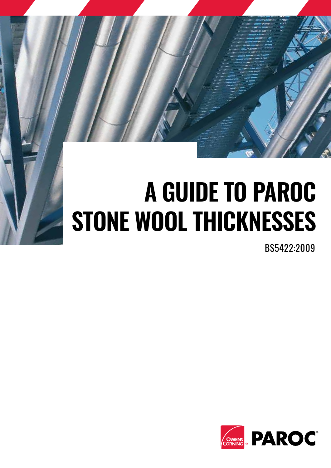

# **A GUIDE TO PAROC STONE WOOL THICKNESSES**

BS5422:2009

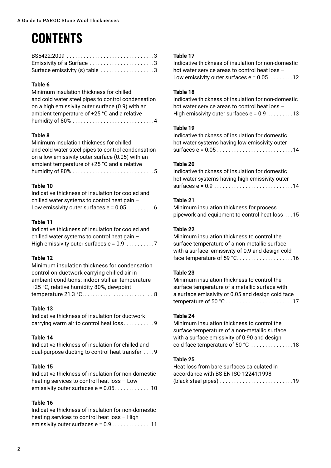### **CONTENTS**

| Emissivity of a Surface 3      |  |
|--------------------------------|--|
| Surface emissivity (ε) table 3 |  |

#### **Table 6**

Minimum insulation thickness for chilled and cold water steel pipes to control condensation on a high emissivity outer surface (0.9) with an ambient temperature of +25 °C and a relative humidity of 80% . . . . . . . . . . . . . . . . . . . . . . . . . . . . 4

#### **Table 8**

Minimum insulation thickness for chilled and cold water steel pipes to control condensation on a low emissivity outer surface (0.05) with an ambient temperature of +25 °C and a relative humidity of 80% . . . . . . . . . . . . . . . . . . . . . . . . . . . . 5

#### **Table 10**

| Indicative thickness of insulation for cooled and |  |
|---------------------------------------------------|--|
| chilled water systems to control heat gain -      |  |
|                                                   |  |

#### **Table 11**

| Indicative thickness of insulation for cooled and |  |
|---------------------------------------------------|--|
| chilled water systems to control heat gain -      |  |
|                                                   |  |

#### **Table 12**

Minimum insulation thickness for condensation control on ductwork carrying chilled air in ambient conditions: indoor still air temperature +25 °C, relative humidity 80%, dewpoint temperature 21.3 °C................................. 8

#### **Table 13**

| Indicative thickness of insulation for ductwork |  |
|-------------------------------------------------|--|
| carrying warm air to control heat loss9         |  |

#### **Table 14**

Indicative thickness of insulation for chilled and dual-purpose ducting to control heat transfer . . . . 9

#### **Table 15**

| Indicative thickness of insulation for non-domestic |
|-----------------------------------------------------|
| heating services to control heat loss - Low         |
| emissivity outer surfaces $e = 0.05$ 10             |

#### **Table 16**

| Indicative thickness of insulation for non-domestic |
|-----------------------------------------------------|
| heating services to control heat loss - High        |
|                                                     |

#### **Table 17**

Indicative thickness of insulation for non-domestic hot water service areas to control heat loss – Low emissivity outer surfaces  $e = 0.05$ ........12

#### **Table 18**

Indicative thickness of insulation for non-domestic hot water service areas to control heat loss – High emissivity outer surfaces  $e = 0.9$  ........13

#### **Table 19**

| Indicative thickness of insulation for domestic |  |
|-------------------------------------------------|--|
| hot water systems having low emissivity outer   |  |
|                                                 |  |

#### **Table 20**

| Indicative thickness of insulation for domestic                               |  |
|-------------------------------------------------------------------------------|--|
| hot water systems having high emissivity outer                                |  |
| surfaces $e = 0.9 \ldots \ldots \ldots \ldots \ldots \ldots \ldots \ldots 14$ |  |

#### **Table 21**

Minimum insulation thickness for process pipework and equipment to control heat loss . . 15

#### **Table 22**

Minimum insulation thickness to control the surface temperature of a non-metallic surface with a surface emissivity of 0.9 and design cold face temperature of 59 °C . . . . . . . . . . . . . . . . . . . 16

#### **Table 23**

Minimum insulation thickness to control the surface temperature of a metallic surface with a surface emissivity of 0.05 and design cold face temperature of 50 °C . . . . . . . . . . . . . . . . . . . . . . . 17

#### **Table 24**

Minimum insulation thickness to control the surface temperature of a non-metallic surface with a surface emissivity of 0.90 and design cold face temperature of 50 °C . . . . . . . . . . . . . . 18

#### **Table 25**

| Heat loss from bare surfaces calculated in |  |
|--------------------------------------------|--|
| accordance with BS EN ISO 12241:1998       |  |
|                                            |  |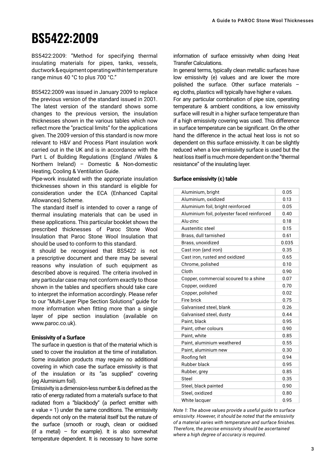### **BS5422:2009**

BS5422:2009: "Method for specifying thermal insulating materials for pipes, tanks, vessels, ductwork & equipment operating within temperature range minus 40 °C to plus 700 °C."

BS5422:2009 was issued in January 2009 to replace the previous version of the standard issued in 2001. The latest version of the standard shows some changes to the previous version, the insulation thicknesses shown in the various tables which now reflect more the "practical limits" for the applications given. The 2009 version of this standard is now more relevant to H&V and Process Plant insulation work carried out in the UK and is in accordance with the Part L of Building Regulations (England /Wales & Northern Ireland) – Domestic & Non-domestic Heating, Cooling & Ventilation Guide.

Pipe-work insulated with the appropriate insulation thicknesses shown in this standard is eligible for consideration under the ECA (Enhanced Capital Allowances) Scheme.

The standard itself is intended to cover a range of thermal insulating materials that can be used in these applications. This particular booklet shows the prescribed thicknesses of Paroc Stone Wool Insulation that Paroc Stone Wool Insulation that should be used to conform to this standard.

It should be recognised that BS5422 is not a prescriptive document and there may be several reasons why insulation of such equipment as described above is required. The criteria involved in any particular case may not conform exactly to those shown in the tables and specifiers should take care to interpret the information accordingly. Please refer to our "Multi-Layer Pipe Section Solutions" guide for more information when fitting more than a single layer of pipe section insulation (available on www.paroc.co.uk).

#### **Emissivity of a Surface**

The surface in question is that of the material which is used to cover the insulation at the time of installation. Some insulation products may require no additional covering in which case the surface emissivity is that of the insulation or its "as supplied" covering (eg Aluminium foil).

Emissivity is a dimension-less number & is defined as the ratio of energy radiated from a material's surface to that radiated from a "blackbody" (a perfect emitter with e value = 1) under the same conditions. The emissivity depends not only on the material itself but the nature of the surface (smooth or rough, clean or oxidised (if a metal) – for example). It is also somewhat temperature dependent. It is necessary to have some information of surface emissivity when doing Heat Transfer Calculations.

In general terms, typically clean metallic surfaces have low emissivity (e) values and are lower the more polished the surface. Other surface materials – eg cloths, plastics will typically have higher e values.

For any particular combination of pipe size, operating temperature & ambient conditions, a low emissivity surface will result in a higher surface temperature than if a high emissivity covering was used. This difference in surface temperature can be significant. On the other hand the difference in the actual heat loss is not so dependent on this surface emissivity. It can be slightly reduced when a low emissivity surface is used but the heat loss itself is much more dependent on the "thermal resistance" of the insulating layer.

#### **Surface emissivity (ε) table**

| Aluminium, bright                          | 0.05  |
|--------------------------------------------|-------|
| Aluminium, oxidized                        | 0.13  |
| Aluminium foil, bright reinforced          | 0.05  |
| Aluminium foil, polyester faced reinforced | 0.40  |
| Alu-zinc                                   | 0.18  |
| Austenitic steel                           | 0.15  |
| Brass, dull tarnished                      | 0.61  |
| Brass, unoxidized                          | 0.035 |
| Cast iron (and iron)                       | 0.35  |
| Cast iron, rusted and oxidized             | 0.65  |
| Chrome, polished                           | 0.10  |
| Cloth                                      | 0.90  |
| Copper, commercial scoured to a shine      | 0.07  |
| Copper, oxidized                           | 0.70  |
| Copper, polished                           | 0.02  |
| Fire brick                                 | 0.75  |
| Galvanised steel, blank                    | 0.26  |
| Galvanised steel, dusty                    | 0.44  |
| Paint, black                               | 0.95  |
| Paint, other colours                       | 0.90  |
| Paint, white                               | 0.85  |
| Paint, aluminium weathered                 | 0.55  |
| Paint, aluminium new                       | 0.30  |
| Roofing felt                               | 0.94  |
| Rubber black                               | 0.95  |
| Rubber, grey                               | 0.85  |
| Steel                                      | 0.35  |
| Steel, black painted                       | 0.90  |
| Steel, oxidized                            | 0.80  |
| White lacquer                              | 0.95  |

*Note 1: The above values provide a useful guide to surface emissivity. However, it should be noted that the emissivity of a material varies with temperature and surface finishes. Therefore, the precise emissivity should be ascertained where a high degree of accuracy is required.*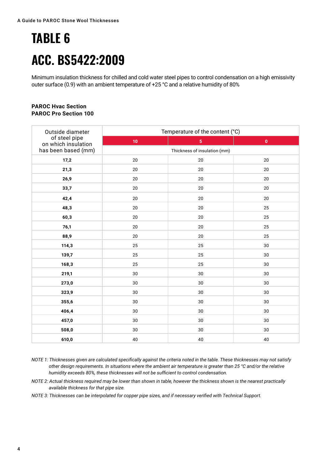# **TABLE 6 ACC. BS5422:2009**

Minimum insulation thickness for chilled and cold water steel pipes to control condensation on a high emissivity outer surface (0.9) with an ambient temperature of +25 °C and a relative humidity of 80%

#### **PAROC Hvac Section PAROC Pro Section 100**

| Outside diameter                     | Temperature of the content (°C) |                |              |
|--------------------------------------|---------------------------------|----------------|--------------|
| of steel pipe<br>on which insulation | 10                              | $\overline{5}$ | $\mathbf{0}$ |
| has been based (mm)                  | Thickness of insulation (mm)    |                |              |
| 17,2                                 | $20\,$                          | $20\,$         | 20           |
| 21,3                                 | 20                              | 20             | 20           |
| 26,9                                 | 20                              | 20             | 20           |
| 33,7                                 | 20                              | 20             | 20           |
| 42,4                                 | $20\,$                          | 20             | 20           |
| 48,3                                 | 20                              | 20             | 25           |
| 60,3                                 | 20                              | 20             | 25           |
| 76,1                                 | $20\,$                          | 20             | 25           |
| 88,9                                 | 20                              | 20             | 25           |
| 114,3                                | 25                              | 25             | 30           |
| 139,7                                | 25                              | 25             | 30           |
| 168,3                                | 25                              | 25             | 30           |
| 219,1                                | $30\,$                          | 30             | $30\,$       |
| 273,0                                | 30                              | 30             | 30           |
| 323,9                                | 30                              | 30             | 30           |
| 355,6                                | 30                              | 30             | 30           |
| 406,4                                | 30                              | 30             | 30           |
| 457,0                                | 30                              | 30             | $30\,$       |
| 508,0                                | $30\,$                          | 30             | $30\,$       |
| 610,0                                | 40                              | 40             | 40           |

- *NOTE 1: Thicknesses given are calculated specifically against the criteria noted in the table. These thicknesses may not satisfy other design requirements. In situations where the ambient air temperature is greater than 25 °C and/or the relative humidity exceeds 80%, these thicknesses will not be sufficient to control condensation.*
- *NOTE 2: Actual thickness required may be lower than shown in table, however the thickness shown is the nearest practically available thickness for that pipe size.*

*NOTE 3: Thicknesses can be interpolated for copper pipe sizes, and if necessary verified with Technical Support.*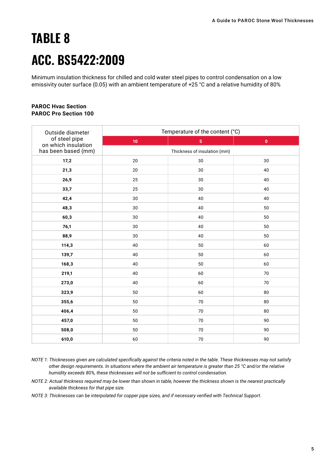## **TABLE 8 ACC. BS5422:2009**

Minimum insulation thickness for chilled and cold water steel pipes to control condensation on a low emissivity outer surface (0.05) with an ambient temperature of +25 °C and a relative humidity of 80%

#### **PAROC Hvac Section PAROC Pro Section 100**

| Outside diameter                     | Temperature of the content (°C) |                |           |
|--------------------------------------|---------------------------------|----------------|-----------|
| of steel pipe<br>on which insulation | 10                              | 5 <sub>5</sub> | $\pmb{0}$ |
| has been based (mm)                  | Thickness of insulation (mm)    |                |           |
| 17,2                                 | 20                              | $30\,$         | 30        |
| 21,3                                 | 20                              | 30             | 40        |
| 26,9                                 | 25                              | 30             | 40        |
| 33,7                                 | 25                              | 30             | 40        |
| 42,4                                 | 30                              | 40             | 40        |
| 48,3                                 | 30                              | 40             | 50        |
| 60,3                                 | 30                              | 40             | 50        |
| 76,1                                 | 30                              | 40             | 50        |
| 88,9                                 | 30                              | 40             | 50        |
| 114,3                                | 40                              | 50             | 60        |
| 139,7                                | 40                              | 50             | 60        |
| 168,3                                | 40                              | 50             | 60        |
| 219,1                                | 40                              | 60             | 70        |
| 273,0                                | 40                              | 60             | 70        |
| 323,9                                | 50                              | 60             | 80        |
| 355,6                                | 50                              | 70             | 80        |
| 406,4                                | 50                              | 70             | 80        |
| 457,0                                | 50                              | $70\,$         | $90\,$    |
| 508,0                                | 50                              | 70             | 90        |
| 610,0                                | 60                              | $70\,$         | 90        |

- *NOTE 1: Thicknesses given are calculated specifically against the criteria noted in the table. These thicknesses may not satisfy other design requirements. In situations where the ambient air temperature is greater than 25 °C and/or the relative humidity exceeds 80%, these thicknesses will not be sufficient to control condensation.*
- *NOTE 2: Actual thickness required may be lower than shown in table, however the thickness shown is the nearest practically available thickness for that pipe size.*

*NOTE 3: Thicknesses can be interpolated for copper pipe sizes, and if necessary verified with Technical Support.*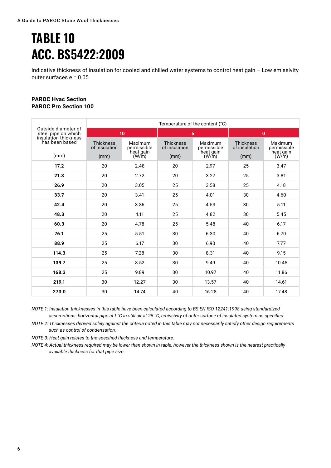### **TABLE 10 ACC. BS5422:2009**

Indicative thickness of insulation for cooled and chilled water systems to control heat gain – Low emissivity outer surfaces e = 0.05

#### **PAROC Hvac Section PAROC Pro Section 100**

|                                            |                                   |                                     |                                   | Temperature of the content (°C)     |                                   |                                     |
|--------------------------------------------|-----------------------------------|-------------------------------------|-----------------------------------|-------------------------------------|-----------------------------------|-------------------------------------|
| Outside diameter of<br>steel pipe on which |                                   | 10                                  | $5\phantom{.0}$                   |                                     | $\mathbf{0}$                      |                                     |
| insulation thickness<br>has been based     | <b>Thickness</b><br>of insulation | Maximum<br>permissible<br>heat gain | <b>Thickness</b><br>of insulation | Maximum<br>permissible<br>heat gain | <b>Thickness</b><br>of insulation | Maximum<br>permissible<br>heat gain |
| (mm)                                       | (mm)                              | (W/m)                               | (mm)                              | (W/m)                               | (mm)                              | (W/m)                               |
| 17.2                                       | 20                                | 2.48                                | 20                                | 2.97                                | 25                                | 3.47                                |
| 21.3                                       | 20                                | 2.72                                | 20                                | 3.27                                | 25                                | 3.81                                |
| 26.9                                       | 20                                | 3.05                                | 25                                | 3.58                                | 25                                | 4.18                                |
| 33.7                                       | 20                                | 3.41                                | 25                                | 4.01                                | 30                                | 4.60                                |
| 42.4                                       | 20                                | 3.86                                | 25                                | 4.53                                | 30                                | 5.11                                |
| 48.3                                       | 20                                | 4.11                                | 25                                | 4.82                                | 30                                | 5.45                                |
| 60.3                                       | 20                                | 4.78                                | 25                                | 5.48                                | 40                                | 6.17                                |
| 76.1                                       | 25                                | 5.51                                | 30                                | 6.30                                | 40                                | 6.70                                |
| 88.9                                       | 25                                | 6.17                                | 30                                | 6.90                                | 40                                | 7.77                                |
| 114.3                                      | 25                                | 7.28                                | 30                                | 8.31                                | 40                                | 9.15                                |
| 139.7                                      | 25                                | 8.52                                | 30                                | 9.49                                | 40                                | 10.45                               |
| 168.3                                      | 25                                | 9.89                                | 30                                | 10.97                               | 40                                | 11.86                               |
| 219.1                                      | 30                                | 12.27                               | 30                                | 13.57                               | 40                                | 14.61                               |
| 273.0                                      | 30                                | 14.74                               | 40                                | 16.28                               | 40                                | 17.48                               |

*NOTE 1: Insulation thicknesses in this table have been calculated according to BS EN ISO 12241:1998 using standardized assumptions: horizontal pipe at t °C in still air at 25 °C, emissivity of outer surface of insulated system as specified.*

*NOTE 2: Thicknesses derived solely against the criteria noted in this table may not necessarily satisfy other design requirements such as control of condensation.*

*NOTE 3: Heat gain relates to the specified thickness and temperature.*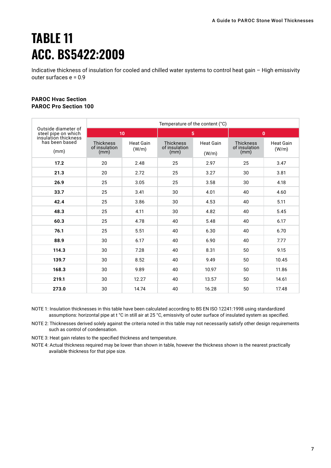### **TABLE 11 ACC. BS5422:2009**

Indicative thickness of insulation for cooled and chilled water systems to control heat gain – High emissivity outer surfaces e = 0.9

#### **PAROC Hvac Section PAROC Pro Section 100**

|                                                                    |                                           |                           |                                           | Temperature of the content (°C) |                                           |                           |  |
|--------------------------------------------------------------------|-------------------------------------------|---------------------------|-------------------------------------------|---------------------------------|-------------------------------------------|---------------------------|--|
| Outside diameter of<br>steel pipe on which<br>insulation thickness | 10                                        |                           | 5                                         |                                 |                                           | $\mathbf{0}$              |  |
| has been based<br>(mm)                                             | <b>Thickness</b><br>of insulation<br>(mm) | <b>Heat Gain</b><br>(W/m) | <b>Thickness</b><br>of insulation<br>(mm) | <b>Heat Gain</b><br>(W/m)       | <b>Thickness</b><br>of insulation<br>(mm) | <b>Heat Gain</b><br>(W/m) |  |
| 17.2                                                               | 20                                        | 2.48                      | 25                                        | 2.97                            | 25                                        | 3.47                      |  |
| 21.3                                                               | 20                                        | 2.72                      | 25                                        | 3.27                            | 30                                        | 3.81                      |  |
| 26.9                                                               | 25                                        | 3.05                      | 25                                        | 3.58                            | 30                                        | 4.18                      |  |
| 33.7                                                               | 25                                        | 3.41                      | 30                                        | 4.01                            | 40                                        | 4.60                      |  |
| 42.4                                                               | 25                                        | 3.86                      | 30                                        | 4.53                            | 40                                        | 5.11                      |  |
| 48.3                                                               | 25                                        | 4.11                      | 30                                        | 4.82                            | 40                                        | 5.45                      |  |
| 60.3                                                               | 25                                        | 4.78                      | 40                                        | 5.48                            | 40                                        | 6.17                      |  |
| 76.1                                                               | 25                                        | 5.51                      | 40                                        | 6.30                            | 40                                        | 6.70                      |  |
| 88.9                                                               | 30                                        | 6.17                      | 40                                        | 6.90                            | 40                                        | 7.77                      |  |
| 114.3                                                              | 30                                        | 7.28                      | 40                                        | 8.31                            | 50                                        | 9.15                      |  |
| 139.7                                                              | 30                                        | 8.52                      | 40                                        | 9.49                            | 50                                        | 10.45                     |  |
| 168.3                                                              | 30                                        | 9.89                      | 40                                        | 10.97                           | 50                                        | 11.86                     |  |
| 219.1                                                              | 30                                        | 12.27                     | 40                                        | 13.57                           | 50                                        | 14.61                     |  |
| 273.0                                                              | 30                                        | 14.74                     | 40                                        | 16.28                           | 50                                        | 17.48                     |  |

NOTE 1: Insulation thicknesses in this table have been calculated according to BS EN ISO 12241:1998 using standardized assumptions: horizontal pipe at t °C in still air at 25 °C, emissivity of outer surface of insulated system as specified.

NOTE 2: Thicknesses derived solely against the criteria noted in this table may not necessarily satisfy other design requirements such as control of condensation.

NOTE 3: Heat gain relates to the specified thickness and temperature.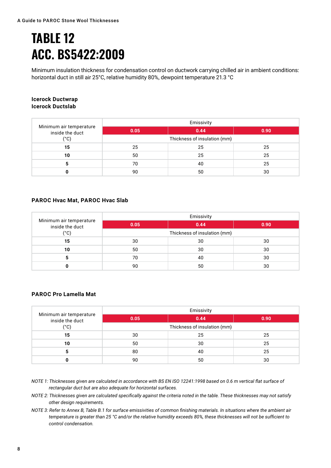### **TABLE 12 ACC. BS5422:2009**

Minimum insulation thickness for condensation control on ductwork carrying chilled air in ambient conditions: horizontal duct in still air 25°C, relative humidity 80%, dewpoint temperature 21.3 °C

#### **Icerock Ductwrap Icerock Ductslab**

| Minimum air temperature<br>inside the duct | Emissivity                   |      |      |  |  |
|--------------------------------------------|------------------------------|------|------|--|--|
|                                            | 0.05                         | 0.44 | 0.90 |  |  |
| $(^{\circ}C)$                              | Thickness of insulation (mm) |      |      |  |  |
| 15                                         | 25                           | 25   | 25   |  |  |
| 10                                         | 50                           | 25   | 25   |  |  |
| 5                                          | 70                           | 40   | 25   |  |  |
|                                            | 90                           | 50   | 30   |  |  |

#### **PAROC Hvac Mat, PAROC Hvac Slab**

| Minimum air temperature<br>inside the duct | Emissivity                   |      |      |  |  |
|--------------------------------------------|------------------------------|------|------|--|--|
|                                            | 0.05                         | 0.44 | 0.90 |  |  |
| $(^{\circ}C)$                              | Thickness of insulation (mm) |      |      |  |  |
| 15                                         | 30                           | 30   | 30   |  |  |
| 10                                         | 50                           | 30   | 30   |  |  |
|                                            | 70                           | 40   | 30   |  |  |
|                                            | 90                           | 50   | 30   |  |  |

#### **PAROC Pro Lamella Mat**

| Minimum air temperature<br>inside the duct | Emissivity                   |      |      |  |  |
|--------------------------------------------|------------------------------|------|------|--|--|
|                                            | 0.05                         | 0.44 | 0.90 |  |  |
| $(^{\circ}C)$                              | Thickness of insulation (mm) |      |      |  |  |
| 15                                         | 30                           | 25   | 25   |  |  |
| 10                                         | 50                           | 30   | 25   |  |  |
|                                            | 80                           | 40   | 25   |  |  |
|                                            | 90                           | 50   | 30   |  |  |

*NOTE 1: Thicknesses given are calculated in accordance with BS EN ISO 12241:1998 based on 0.6 m vertical flat surface of rectangular duct but are also adequate for horizontal surfaces.*

- *NOTE 2: Thicknesses given are calculated specifically against the criteria noted in the table. These thicknesses may not satisfy other design requirements.*
- *NOTE 3: Refer to Annex B, Table B.1 for surface emissivities of common finishing materials. In situations where the ambient air temperature is greater than 25 °C and/or the relative humidity exceeds 80%, these thicknesses will not be sufficient to control condensation.*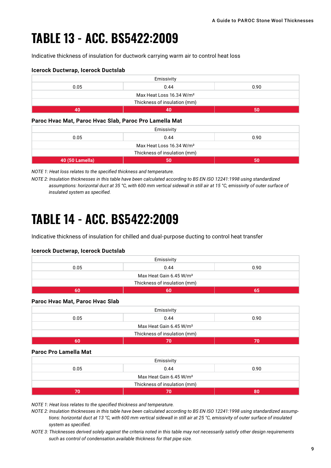### **TABLE 13 - ACC. BS5422:2009**

Indicative thickness of insulation for ductwork carrying warm air to control heat loss

#### **Icerock Ductwrap, Icerock Ductslab**

| Emissivity                           |  |  |  |  |  |
|--------------------------------------|--|--|--|--|--|
| 0.05<br>0.44<br>0.90                 |  |  |  |  |  |
| Max Heat Loss 16.34 W/m <sup>2</sup> |  |  |  |  |  |
| Thickness of insulation (mm)         |  |  |  |  |  |
| 40                                   |  |  |  |  |  |

#### **Paroc Hvac Mat, Paroc Hvac Slab, Paroc Pro Lamella Mat**

| Emissivity                           |  |  |  |  |  |
|--------------------------------------|--|--|--|--|--|
| 0.44<br>0.05<br>0.90                 |  |  |  |  |  |
| Max Heat Loss 16.34 W/m <sup>2</sup> |  |  |  |  |  |
| Thickness of insulation (mm)         |  |  |  |  |  |
| 40 (50 Lamella)<br>50                |  |  |  |  |  |

*NOTE 1: Heat loss relates to the specified thickness and temperature.*

*NOTE 2: Insulation thicknesses in this table have been calculated according to BS EN ISO 12241:1998 using standardized assumptions: horizontal duct at 35 °C, with 600 mm vertical sidewall in still air at 15 °C, emissivity of outer surface of insulated system as specified.*

### **TABLE 14 - ACC. BS5422:2009**

Indicative thickness of insulation for chilled and dual-purpose ducting to control heat transfer

#### **Icerock Ductwrap, Icerock Ductslab**

|                                     | Emissivity                          |      |  |  |  |
|-------------------------------------|-------------------------------------|------|--|--|--|
| 0.05                                | 0.44<br>0.90                        |      |  |  |  |
| Max Heat Gain 6.45 W/m <sup>2</sup> |                                     |      |  |  |  |
|                                     | Thickness of insulation (mm)        |      |  |  |  |
| 60                                  | 60                                  | 65   |  |  |  |
| Paroc Hvac Mat, Paroc Hvac Slab     | Emissivity                          |      |  |  |  |
| 0.05                                | 0.44                                | 0.90 |  |  |  |
|                                     |                                     |      |  |  |  |
|                                     | Max Heat Gain 6.45 W/m <sup>2</sup> |      |  |  |  |
|                                     | Thickness of insulation (mm)        |      |  |  |  |

#### **Paroc Pro Lamella Mat**

| Emissivity                          |  |  |  |  |  |
|-------------------------------------|--|--|--|--|--|
| 0.05<br>0.44<br>0.90                |  |  |  |  |  |
| Max Heat Gain 6.45 W/m <sup>2</sup> |  |  |  |  |  |
| Thickness of insulation (mm)        |  |  |  |  |  |
| 70                                  |  |  |  |  |  |

*NOTE 1: Heat loss relates to the specified thickness and temperature.*

*NOTE 2: Insulation thicknesses in this table have been calculated according to BS EN ISO 12241:1998 using standardized assumptions: horizontal duct at 13 °C, with 600 mm vertical sidewall in still air at 25 °C, emissivity of outer surface of insulated system as specified.*

*NOTE 3: Thicknesses derived solely against the criteria noted in this table may not necessarily satisfy other design requirements such as control of condensation.available thickness for that pipe size.*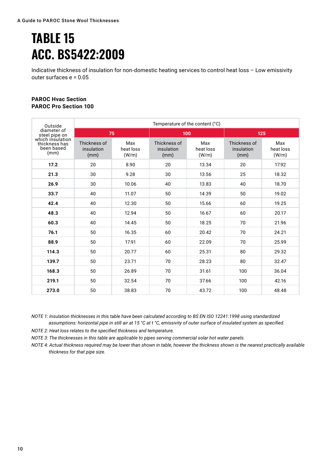### **TABLE 15 ACC. BS5422:2009**

Indicative thickness of insulation for non-domestic heating services to control heat loss – Low emissivity outer surfaces e = 0.05

#### **PAROC Hvac Section PAROC Pro Section 100**

| Outside                                                 | Temperature of the content (°C)    |                           |                                    |                           |                                    |                           |  |
|---------------------------------------------------------|------------------------------------|---------------------------|------------------------------------|---------------------------|------------------------------------|---------------------------|--|
| diameter of<br>steel pipe on                            | 75                                 |                           |                                    | 100                       |                                    | 125                       |  |
| which insulation<br>thickness has<br>been based<br>(mm) | Thickness of<br>insulation<br>(mm) | Max<br>heat loss<br>(W/m) | Thickness of<br>insulation<br>(mm) | Max<br>heat loss<br>(W/m) | Thickness of<br>insulation<br>(mm) | Max<br>heat loss<br>(W/m) |  |
| 17.2                                                    | 20                                 | 8.90                      | 20                                 | 13.34                     | 20                                 | 17.92                     |  |
| 21.3                                                    | 30                                 | 9.28                      | 30                                 | 13.56                     | 25                                 | 18.32                     |  |
| 26.9                                                    | 30                                 | 10.06                     | 40                                 | 13.83                     | 40                                 | 18.70                     |  |
| 33.7                                                    | 40                                 | 11.07                     | 50                                 | 14.39                     | 50                                 | 19.02                     |  |
| 42.4                                                    | 40                                 | 12.30                     | 50                                 | 15.66                     | 60                                 | 19.25                     |  |
| 48.3                                                    | 40                                 | 12.94                     | 50                                 | 16.67                     | 60                                 | 20.17                     |  |
| 60.3                                                    | 40                                 | 14.45                     | 50                                 | 18.25                     | 70                                 | 21.96                     |  |
| 76.1                                                    | 50                                 | 16.35                     | 60                                 | 20.42                     | 70                                 | 24.21                     |  |
| 88.9                                                    | 50                                 | 17.91                     | 60                                 | 22.09                     | 70                                 | 25.99                     |  |
| 114.3                                                   | 50                                 | 20.77                     | 60                                 | 25.31                     | 80                                 | 29.32                     |  |
| 139.7                                                   | 50                                 | 23.71                     | 70                                 | 28.23                     | 80                                 | 32.47                     |  |
| 168.3                                                   | 50                                 | 26.89                     | 70                                 | 31.61                     | 100                                | 36.04                     |  |
| 219.1                                                   | 50                                 | 32.54                     | 70                                 | 37.66                     | 100                                | 42.16                     |  |
| 273.0                                                   | 50                                 | 38.83                     | 70                                 | 43.72                     | 100                                | 48.48                     |  |

*NOTE 1: Insulation thicknesses in this table have been calculated according to BS EN ISO 12241:1998 using standardized assumptions: horizontal pipe in still air at 15 °C at t °C, emissivity of outer surface of insulated system as specified.*

*NOTE 2: Heat loss relates to the specified thickness and temperature.*

*NOTE 3: The thicknesses in this table are applicable to pipes serving commercial solar hot water panels.*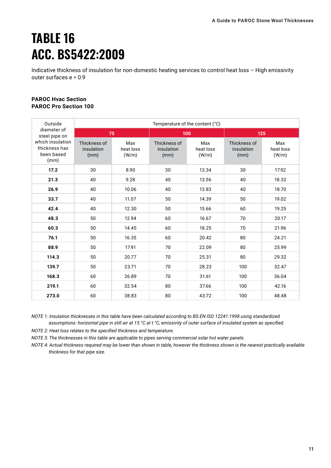### **TABLE 16 ACC. BS5422:2009**

Indicative thickness of insulation for non-domestic heating services to control heat loss – High emissivity outer surfaces e = 0.9

#### **PAROC Hvac Section PAROC Pro Section 100**

| Outside                                                 | Temperature of the content (°C)    |                           |                                    |                           |                                    |                           |
|---------------------------------------------------------|------------------------------------|---------------------------|------------------------------------|---------------------------|------------------------------------|---------------------------|
| diameter of<br>steel pipe on                            | 75                                 |                           |                                    | 100                       | 125                                |                           |
| which insulation<br>thickness has<br>been based<br>(mm) | Thickness of<br>insulation<br>(mm) | Max<br>heat loss<br>(W/m) | Thickness of<br>insulation<br>(mm) | Max<br>heat loss<br>(W/m) | Thickness of<br>insulation<br>(mm) | Max<br>heat loss<br>(W/m) |
| 17.2                                                    | 30                                 | 8.90                      | 30                                 | 13.34                     | 30                                 | 17.92                     |
| 21.3                                                    | 40                                 | 9.28                      | 40                                 | 13.56                     | 40                                 | 18.32                     |
| 26.9                                                    | 40                                 | 10.06                     | 40                                 | 13.83                     | 40                                 | 18.70                     |
| 33.7                                                    | 40                                 | 11.07                     | 50                                 | 14.39                     | 50                                 | 19.02                     |
| 42.4                                                    | 40                                 | 12.30                     | 50                                 | 15.66                     | 60                                 | 19.25                     |
| 48.3                                                    | 50                                 | 12.94                     | 60                                 | 16.67                     | 70                                 | 20.17                     |
| 60.3                                                    | 50                                 | 14.45                     | 60                                 | 18.25                     | 70                                 | 21.96                     |
| 76.1                                                    | 50                                 | 16.35                     | 60                                 | 20.42                     | 80                                 | 24.21                     |
| 88.9                                                    | 50                                 | 17.91                     | 70                                 | 22.09                     | 80                                 | 25.99                     |
| 114.3                                                   | 50                                 | 20.77                     | 70                                 | 25.31                     | 80                                 | 29.32                     |
| 139.7                                                   | 50                                 | 23.71                     | 70                                 | 28.23                     | 100                                | 32.47                     |
| 168.3                                                   | 60                                 | 26.89                     | 70                                 | 31.61                     | 100                                | 36.04                     |
| 219.1                                                   | 60                                 | 32.54                     | 80                                 | 37.66                     | 100                                | 42.16                     |
| 273.0                                                   | 60                                 | 38.83                     | 80                                 | 43.72                     | 100                                | 48.48                     |

*NOTE 1: Insulation thicknesses in this table have been calculated according to BS EN ISO 12241:1998 using standardized assumptions: horizontal pipe in still air at 15 °C at t °C, emissivity of outer surface of insulated system as specified.*

*NOTE 2: Heat loss relates to the specified thickness and temperature.*

*NOTE 3: The thicknesses in this table are applicable to pipes serving commercial solar hot water panels.*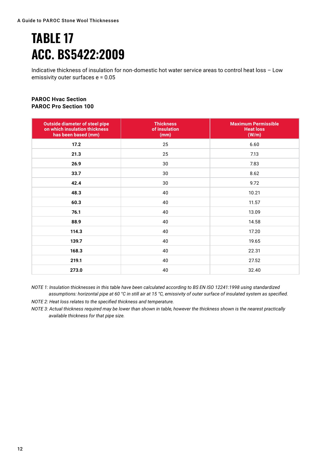### **TABLE 17 ACC. BS5422:2009**

Indicative thickness of insulation for non-domestic hot water service areas to control heat loss – Low emissivity outer surfaces e = 0.05

#### **PAROC Hvac Section PAROC Pro Section 100**

| <b>Outside diameter of steel pipe</b><br>on which insulation thickness<br>has been based (mm) | <b>Thickness</b><br>of insulation<br>(mm) | <b>Maximum Permissible</b><br><b>Heat loss</b><br>(W/m) |
|-----------------------------------------------------------------------------------------------|-------------------------------------------|---------------------------------------------------------|
| 17.2                                                                                          | 25                                        | 6.60                                                    |
| 21.3                                                                                          | 25                                        | 7.13                                                    |
| 26.9                                                                                          | 30                                        | 7.83                                                    |
| 33.7                                                                                          | 30                                        | 8.62                                                    |
| 42.4                                                                                          | 30                                        | 9.72                                                    |
| 48.3                                                                                          | 40                                        | 10.21                                                   |
| 60.3                                                                                          | 40                                        | 11.57                                                   |
| 76.1                                                                                          | 40                                        | 13.09                                                   |
| 88.9                                                                                          | 40                                        | 14.58                                                   |
| 114.3                                                                                         | 40                                        | 17.20                                                   |
| 139.7                                                                                         | 40                                        | 19.65                                                   |
| 168.3                                                                                         | 40                                        | 22.31                                                   |
| 219.1                                                                                         | 40                                        | 27.52                                                   |
| 273.0                                                                                         | 40                                        | 32.40                                                   |

*NOTE 1: Insulation thicknesses in this table have been calculated according to BS EN ISO 12241:1998 using standardized assumptions: horizontal pipe at 60 °C in still air at 15 °C, emissivity of outer surface of insulated system as specified.*

*NOTE 2: Heat loss relates to the specified thickness and temperature.*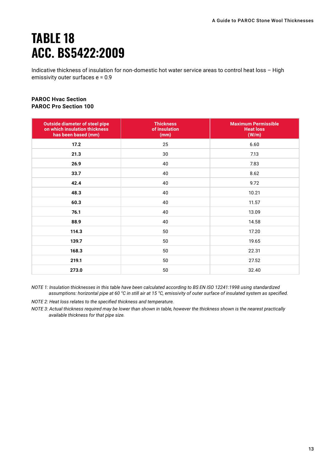### **TABLE 18 ACC. BS5422:2009**

Indicative thickness of insulation for non-domestic hot water service areas to control heat loss – High emissivity outer surfaces e = 0.9

#### **PAROC Hvac Section PAROC Pro Section 100**

| <b>Outside diameter of steel pipe</b><br>on which insulation thickness<br>has been based (mm) | <b>Thickness</b><br>of insulation<br>(mm) | <b>Maximum Permissible</b><br><b>Heat loss</b><br>(W/m) |
|-----------------------------------------------------------------------------------------------|-------------------------------------------|---------------------------------------------------------|
| 17.2                                                                                          | 25                                        | 6.60                                                    |
| 21.3                                                                                          | 30                                        | 7.13                                                    |
| 26.9                                                                                          | 40                                        | 7.83                                                    |
| 33.7                                                                                          | 40                                        | 8.62                                                    |
| 42.4                                                                                          | 40                                        | 9.72                                                    |
| 48.3                                                                                          | 40                                        | 10.21                                                   |
| 60.3                                                                                          | 40                                        | 11.57                                                   |
| 76.1                                                                                          | 40                                        | 13.09                                                   |
| 88.9                                                                                          | 40                                        | 14.58                                                   |
| 114.3                                                                                         | 50                                        | 17.20                                                   |
| 139.7                                                                                         | 50                                        | 19.65                                                   |
| 168.3                                                                                         | 50                                        | 22.31                                                   |
| 219.1                                                                                         | 50                                        | 27.52                                                   |
| 273.0                                                                                         | 50                                        | 32.40                                                   |

*NOTE 1: Insulation thicknesses in this table have been calculated according to BS EN ISO 12241:1998 using standardized assumptions: horizontal pipe at 60 °C in still air at 15 °C, emissivity of outer surface of insulated system as specified.*

*NOTE 2: Heat loss relates to the specified thickness and temperature.*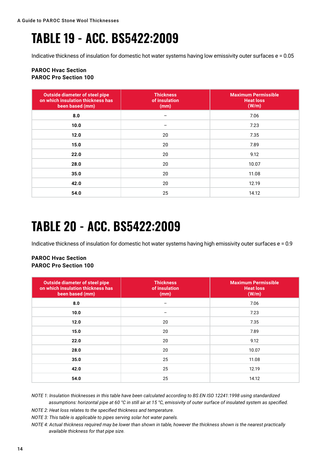### **TABLE 19 - ACC. BS5422:2009**

Indicative thickness of insulation for domestic hot water systems having low emissivity outer surfaces e = 0.05

#### **PAROC Hvac Section PAROC Pro Section 100**

| <b>Outside diameter of steel pipe</b><br>on which insulation thickness has<br>been based (mm) | <b>Thickness</b><br>of insulation<br>(mm) | <b>Maximum Permissible</b><br><b>Heat loss</b><br>(W/m) |
|-----------------------------------------------------------------------------------------------|-------------------------------------------|---------------------------------------------------------|
| 8.0                                                                                           |                                           | 7.06                                                    |
| 10.0                                                                                          |                                           | 7.23                                                    |
| 12.0                                                                                          | 20                                        | 7.35                                                    |
| 15.0                                                                                          | 20                                        | 7.89                                                    |
| 22.0                                                                                          | 20                                        | 9.12                                                    |
| 28.0                                                                                          | 20                                        | 10.07                                                   |
| 35.0                                                                                          | 20                                        | 11.08                                                   |
| 42.0                                                                                          | 20                                        | 12.19                                                   |
| 54.0                                                                                          | 25                                        | 14.12                                                   |

### **TABLE 20 - ACC. BS5422:2009**

Indicative thickness of insulation for domestic hot water systems having high emissivity outer surfaces e = 0.9

#### **PAROC Hvac Section PAROC Pro Section 100**

| <b>Outside diameter of steel pipe</b><br>on which insulation thickness has<br>been based (mm) | <b>Thickness</b><br>of insulation<br>(mm) | <b>Maximum Permissible</b><br><b>Heat loss</b><br>(W/m) |
|-----------------------------------------------------------------------------------------------|-------------------------------------------|---------------------------------------------------------|
| 8.0                                                                                           |                                           | 7.06                                                    |
| 10.0                                                                                          | $\overline{\phantom{m}}$                  | 7.23                                                    |
| 12.0                                                                                          | 20                                        | 7.35                                                    |
| 15.0                                                                                          | 20                                        | 7.89                                                    |
| 22.0                                                                                          | 20                                        | 9.12                                                    |
| 28.0                                                                                          | 20                                        | 10.07                                                   |
| 35.0                                                                                          | 25                                        | 11.08                                                   |
| 42.0                                                                                          | 25                                        | 12.19                                                   |
| 54.0                                                                                          | 25                                        | 14.12                                                   |

*NOTE 1: Insulation thicknesses in this table have been calculated according to BS EN ISO 12241:1998 using standardized assumptions: horizontal pipe at 60 °C in still air at 15 °C, emissivity of outer surface of insulated system as specified.*

*NOTE 2: Heat loss relates to the specified thickness and temperature.*

*NOTE 3: This table is applicable to pipes serving solar hot water panels.*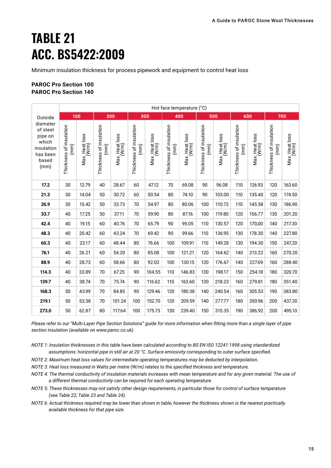### **TABLE 21 ACC. BS5422:2009**

Minimum insulation thickness for process pipework and equipment to control heat loss

#### **PAROC Pro Section 100 PAROC Pro Section 140**

|                                                                                     | Hot face temperature (°C)       |                         |                                 |                         |                                 |                         |                                 |                         |                                 |                         |                                 |                         |                                 |                         |
|-------------------------------------------------------------------------------------|---------------------------------|-------------------------|---------------------------------|-------------------------|---------------------------------|-------------------------|---------------------------------|-------------------------|---------------------------------|-------------------------|---------------------------------|-------------------------|---------------------------------|-------------------------|
| Outside                                                                             |                                 | 100                     |                                 | 200                     |                                 | 300                     |                                 | 400                     |                                 | 500                     |                                 | 600                     |                                 | 700                     |
| diameter<br>of steel<br>pipe on<br>which<br>insulation<br>has been<br>based<br>(mm) | Thickness of insulation<br>(mm) | Max. Heat loss<br>(W/m) | Thickness of insulation<br>(mm) | Max. Heat loss<br>(W/m) | Thickness of insulation<br>(mm) | Max. Heat loss<br>(W/m) | Thickness of insulation<br>(mm) | Max. Heat loss<br>(W/m) | Thickness of insulation<br>(mm) | Max. Heat loss<br>(W/m) | Thickness of insulation<br>(mm) | Max. Heat loss<br>(W/m) | Thickness of insulation<br>(mm) | Max. Heat loss<br>(W/m) |
| 17.2                                                                                | 30                              | 12.79                   | 40                              | 28.67                   | 60                              | 47.12                   | 70                              | 69.08                   | 90                              | 96.08                   | 110                             | 126.93                  | 120                             | 163.60                  |
| 21.3                                                                                | 30                              | 14.04                   | 50                              | 30.72                   | 60                              | 50.54                   | 80                              | 74.10                   | 90                              | 103.00                  | 110                             | 135.40                  | 120                             | 174.50                  |
| 26.9                                                                                | 30                              | 15.42                   | 50                              | 33.73                   | 70                              | 54.97                   | 80                              | 80.06                   | 100                             | 110.72                  | 110                             | 145.58                  | 130                             | 186.90                  |
| 33.7                                                                                | 40                              | 17.25                   | 50                              | 37.11                   | 70                              | 59.90                   | 80                              | 87.16                   | 100                             | 119.80                  | 120                             | 156.77                  | 130                             | 201.20                  |
| 42.4                                                                                | 40                              | 19.15                   | 60                              | 40.76                   | 70                              | 65.79                   | 90                              | 95.05                   | 110                             | 130.57                  | 120                             | 170,00                  | 140                             | 217.30                  |
| 48.3                                                                                | 40                              | 20.42                   | 60                              | 43.24                   | 70                              | 69.42                   | 90                              | 99.66                   | 110                             | 136.95                  | 130                             | 178.30                  | 140                             | 227.80                  |
| 60.3                                                                                | 40                              | 23.17                   | 60                              | 48.44                   | 80                              | 76.66                   | 100                             | 109.91                  | 110                             | 149.28                  | 130                             | 194.30                  | 150                             | 247.20                  |
| 76.1                                                                                | 40                              | 26.21                   | 60                              | 54.20                   | 80                              | 85.08                   | 100                             | 121.21                  | 120                             | 164.62                  | 140                             | 213.22                  | 160                             | 270.20                  |
| 88.9                                                                                | 40                              | 28.73                   | 60                              | 58.66                   | 80                              | 92.02                   | 100                             | 130.15                  | 120                             | 176.67                  | 140                             | 227.69                  | 160                             | 288.40                  |
| 114.3                                                                               | 40                              | 33.89                   | 70                              | 67.25                   | 90                              | 104.55                  | 110                             | 146.83                  | 130                             | 198.17                  | 150                             | 254.18                  | 180                             | 320.70                  |
| 139.7                                                                               | 40                              | 38.74                   | 70                              | 75.74                   | 90                              | 116.62                  | 110                             | 163.60                  | 130                             | 218.23                  | 160                             | 279.81                  | 180                             | 351.40                  |
| 168.3                                                                               | 50                              | 43.99                   | 70                              | 84.85                   | 90                              | 129.46                  | 120                             | 180.38                  | 140                             | 240.54                  | 160                             | 305.53                  | 190                             | 383.80                  |
| 219.1                                                                               | 50                              | 53.38                   | 70                              | 101.24                  | 100                             | 152.70                  | 120                             | 209.59                  | 140                             | 277.77                  | 180                             | 350.96                  | 200                             | 437.20                  |
| 273.0                                                                               | 50                              | 62.87                   | 80                              | 117.64                  | 100                             | 175.73                  | 130                             | 239.40                  | 150                             | 315.35                  | 190                             | 386.92                  | 200                             | 495.10                  |

*Please refer to our "Multi-Layer Pipe Section Solutions" guide for more information when fitting more than a single layer of pipe section insulation (available on www.paroc.co.uk).*

- *NOTE 1: Insulation thicknesses in this table have been calculated according to BS EN ISO 12241:1998 using standardized assumptions: horizontal pipe in still air at 20 °C. Surface emissivity corresponding to outer surface specified.*
- *NOTE 2: Maximum heat loss values for intermediate operating temperatures may be deducted by interpolation.*
- *NOTE 3: Heat loss measured in Watts per metre (W/m) relates to the specified thickness and temperature.*
- *NOTE 4: The thermal conductivity of insulation materials increases with mean temperature and for any given material. The use of a different thermal conductivity can be required for each operating temperature.*
- *NOTE 5: These thicknesses may not satisfy other design requirements, in particular those for control of surface temperature (see Table 22, Table 23 and Table 24).*
- *NOTE 6: Actual thickness required may be lower than shown in table, however the thickness shown is the nearest practically available thickness for that pipe size.*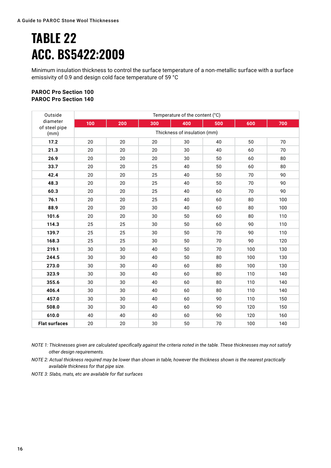### **TABLE 22 ACC. BS5422:2009**

Minimum insulation thickness to control the surface temperature of a non-metallic surface with a surface emissivity of 0.9 and design cold face temperature of 59 °C

#### **PAROC Pro Section 100 PAROC Pro Section 140**

| Outside                   | Temperature of the content (°C) |     |     |     |        |     |     |  |  |  |  |
|---------------------------|---------------------------------|-----|-----|-----|--------|-----|-----|--|--|--|--|
| diameter<br>of steel pipe | 100                             | 200 | 300 | 400 | 500    | 600 | 700 |  |  |  |  |
| (mm)                      | Thickness of insulation (mm)    |     |     |     |        |     |     |  |  |  |  |
| 17.2                      | 20                              | 20  | 20  | 30  | 40     | 50  | 70  |  |  |  |  |
| 21.3                      | 20                              | 20  | 20  | 30  | 40     | 60  | 70  |  |  |  |  |
| 26.9                      | 20                              | 20  | 20  | 30  | 50     | 60  | 80  |  |  |  |  |
| 33.7                      | 20                              | 20  | 25  | 40  | 50     | 60  | 80  |  |  |  |  |
| 42.4                      | 20                              | 20  | 25  | 40  | 50     | 70  | 90  |  |  |  |  |
| 48.3                      | 20                              | 20  | 25  | 40  | 50     | 70  | 90  |  |  |  |  |
| 60.3                      | 20                              | 20  | 25  | 40  | 60     | 70  | 90  |  |  |  |  |
| 76.1                      | 20                              | 20  | 25  | 40  | 60     | 80  | 100 |  |  |  |  |
| 88.9                      | 20                              | 20  | 30  | 40  | 60     | 80  | 100 |  |  |  |  |
| 101.6                     | 20                              | 20  | 30  | 50  |        | 80  | 110 |  |  |  |  |
| 114.3                     | 25                              | 25  | 30  | 50  | 60     | 90  | 110 |  |  |  |  |
| 139.7                     | 25                              | 25  | 30  | 50  | 70     |     | 110 |  |  |  |  |
| 168.3                     | 25                              | 25  | 30  | 50  | 70     | 90  | 120 |  |  |  |  |
| 219.1                     | 30                              | 30  | 40  | 50  | 70     | 100 | 130 |  |  |  |  |
| 244.5                     | 30                              | 30  | 40  | 50  | 80     | 100 | 130 |  |  |  |  |
| 273.0                     | 30                              | 30  | 40  | 60  | 80     | 100 | 130 |  |  |  |  |
| 323.9                     | 30                              | 30  | 40  | 60  | 80     | 110 | 140 |  |  |  |  |
| 355.6                     | 30                              | 30  | 40  | 60  | 80     | 110 | 140 |  |  |  |  |
| 406.4                     | 30                              | 30  | 40  | 60  | 80     | 110 | 140 |  |  |  |  |
| 457.0                     | 30                              | 30  | 40  | 60  | 90     | 110 | 150 |  |  |  |  |
| 508.0                     | 30                              | 30  | 40  | 60  | 90     | 120 | 150 |  |  |  |  |
| 610.0                     | 40                              | 40  | 40  | 60  | 90     | 120 | 160 |  |  |  |  |
| <b>Flat surfaces</b>      | 20                              | 20  | 30  | 50  | $70\,$ | 100 | 140 |  |  |  |  |

*NOTE 1: Thicknesses given are calculated specifically against the criteria noted in the table. These thicknesses may not satisfy other design requirements.*

*NOTE 2: Actual thickness required may be lower than shown in table, however the thickness shown is the nearest practically available thickness for that pipe size.* 

*NOTE 3: Slabs, mats, etc are available for flat surfaces*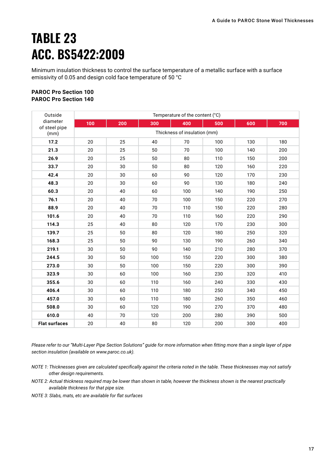### **TABLE 23 ACC. BS5422:2009**

Minimum insulation thickness to control the surface temperature of a metallic surface with a surface emissivity of 0.05 and design cold face temperature of 50 °C

#### **PAROC Pro Section 100 PAROC Pro Section 140**

| Outside                   | Temperature of the content (°C) |     |     |     |     |     |     |  |  |  |  |
|---------------------------|---------------------------------|-----|-----|-----|-----|-----|-----|--|--|--|--|
| diameter<br>of steel pipe | 100                             | 200 | 300 | 400 | 500 | 600 | 700 |  |  |  |  |
| (mm)                      | Thickness of insulation (mm)    |     |     |     |     |     |     |  |  |  |  |
| 17.2                      | 20                              | 25  | 40  | 70  | 100 | 130 | 180 |  |  |  |  |
| 21.3                      | 20                              | 25  | 50  | 70  | 100 | 140 | 200 |  |  |  |  |
| 26.9                      | 20                              | 25  | 50  | 80  | 110 | 150 | 200 |  |  |  |  |
| 33.7                      | 20                              | 30  | 50  | 80  | 120 | 160 | 220 |  |  |  |  |
| 42.4                      | 20                              | 30  | 60  | 90  | 120 | 170 | 230 |  |  |  |  |
| 48.3                      | 20                              | 30  | 60  | 90  | 130 | 180 | 240 |  |  |  |  |
| 60.3                      | 20                              | 40  | 60  | 100 | 140 | 190 | 250 |  |  |  |  |
| 76.1                      | 20                              | 40  | 70  | 100 | 150 | 220 | 270 |  |  |  |  |
| 88.9                      | 20                              | 40  | 70  | 110 | 150 | 220 | 280 |  |  |  |  |
| 101.6                     | 20                              | 40  | 70  | 110 | 160 | 220 | 290 |  |  |  |  |
| 114.3                     | 25                              | 40  | 80  | 120 | 170 | 230 | 300 |  |  |  |  |
| 139.7                     | 25                              | 50  | 80  | 120 | 180 | 250 | 320 |  |  |  |  |
| 168.3                     | 25                              | 50  | 90  | 130 | 190 | 260 | 340 |  |  |  |  |
| 219.1                     | 30                              | 50  | 90  | 140 | 210 | 280 | 370 |  |  |  |  |
| 244.5                     | 30                              | 50  | 100 | 150 | 220 | 300 | 380 |  |  |  |  |
| 273.0                     | 30                              | 50  | 100 | 150 | 220 | 300 | 390 |  |  |  |  |
| 323.9                     | 30                              | 60  | 100 | 160 | 230 | 320 | 410 |  |  |  |  |
| 355.6                     | 30                              | 60  | 110 | 160 | 240 | 330 | 430 |  |  |  |  |
| 406.4                     | 30                              | 60  | 110 | 180 | 250 | 340 | 450 |  |  |  |  |
| 457.0                     | 30                              | 60  | 110 | 180 | 260 | 350 | 460 |  |  |  |  |
| 508.0                     | 30                              | 60  | 120 | 190 | 270 | 370 | 480 |  |  |  |  |
| 610.0                     | 40                              | 70  | 120 | 200 | 280 | 390 | 500 |  |  |  |  |
| <b>Flat surfaces</b>      | 20                              | 40  | 80  | 120 | 200 | 300 | 400 |  |  |  |  |

*Please refer to our "Multi-Layer Pipe Section Solutions" guide for more information when fitting more than a single layer of pipe section insulation (available on www.paroc.co.uk).*

- *NOTE 1: Thicknesses given are calculated specifically against the criteria noted in the table. These thicknesses may not satisfy other design requirements.*
- *NOTE 2: Actual thickness required may be lower than shown in table, however the thickness shown is the nearest practically available thickness for that pipe size.*
- *NOTE 3: Slabs, mats, etc are available for flat surfaces*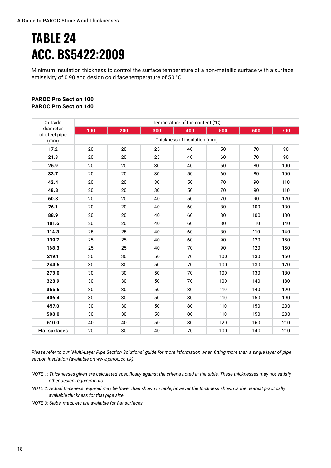### **TABLE 24 ACC. BS5422:2009**

Minimum insulation thickness to control the surface temperature of a non-metallic surface with a surface emissivity of 0.90 and design cold face temperature of 50 °C

#### **PAROC Pro Section 100 PAROC Pro Section 140**

| Outside               | Temperature of the content (°C) |                              |     |     |     |     |     |  |  |  |  |  |
|-----------------------|---------------------------------|------------------------------|-----|-----|-----|-----|-----|--|--|--|--|--|
| diameter              | 100                             | 200                          | 300 | 400 | 500 | 600 | 700 |  |  |  |  |  |
| of steel pipe<br>(mm) |                                 | Thickness of insulation (mm) |     |     |     |     |     |  |  |  |  |  |
| 17.2                  | 20                              | 20                           | 25  | 40  | 50  | 70  | 90  |  |  |  |  |  |
| 21.3                  | 20                              | 20                           | 25  | 40  | 60  | 70  | 90  |  |  |  |  |  |
| 26.9                  | 20                              | 20                           | 30  | 40  | 60  | 80  | 100 |  |  |  |  |  |
| 33.7                  | 20                              | 20                           | 30  | 50  | 60  | 80  | 100 |  |  |  |  |  |
| 42.4                  | 20                              | 20                           | 30  | 50  | 70  | 90  | 110 |  |  |  |  |  |
| 48.3                  | 20                              | 20                           | 30  | 50  | 70  | 90  | 110 |  |  |  |  |  |
| 60.3                  | 20                              | $20\,$                       | 40  | 50  | 70  | 90  | 120 |  |  |  |  |  |
| 76.1                  | 20                              | 20                           | 40  | 60  | 80  | 100 | 130 |  |  |  |  |  |
| 88.9                  | 20                              | 20                           | 40  | 60  | 80  | 100 | 130 |  |  |  |  |  |
| 101.6                 | 20                              | 20                           | 40  | 60  | 80  | 110 | 140 |  |  |  |  |  |
| 114.3                 | 25                              | 25                           | 40  | 60  | 80  | 110 | 140 |  |  |  |  |  |
| 139.7                 | 25                              | 25                           | 40  | 60  | 90  | 120 | 150 |  |  |  |  |  |
| 168.3                 | 25                              | 25                           | 40  | 70  | 90  | 120 | 150 |  |  |  |  |  |
| 219.1                 | 30                              | 30                           | 50  | 70  | 100 | 130 | 160 |  |  |  |  |  |
| 244.5                 | 30                              | 30                           | 50  | 70  | 100 | 130 | 170 |  |  |  |  |  |
| 273.0                 | 30                              | 30                           | 50  | 70  | 100 | 130 | 180 |  |  |  |  |  |
| 323.9                 | 30                              | 30                           | 50  | 70  | 100 | 140 | 180 |  |  |  |  |  |
| 355.6                 | 30                              | 30                           | 50  | 80  | 110 | 140 | 190 |  |  |  |  |  |
| 406.4                 | 30                              | 30                           | 50  | 80  | 110 | 150 | 190 |  |  |  |  |  |
| 457.0                 | 30                              | 30                           | 50  | 80  | 110 | 150 | 200 |  |  |  |  |  |
| 508.0                 | 30                              | 30                           | 50  | 80  | 110 | 150 | 200 |  |  |  |  |  |
| 610.0                 | 40                              | 40                           | 50  | 80  | 120 | 160 | 210 |  |  |  |  |  |
| <b>Flat surfaces</b>  | 20                              | 30                           | 40  | 70  | 100 | 140 | 210 |  |  |  |  |  |

*Please refer to our "Multi-Layer Pipe Section Solutions" guide for more information when fitting more than a single layer of pipe section insulation (available on www.paroc.co.uk).*

- *NOTE 1: Thicknesses given are calculated specifically against the criteria noted in the table. These thicknesses may not satisfy other design requirements.*
- *NOTE 2: Actual thickness required may be lower than shown in table, however the thickness shown is the nearest practically available thickness for that pipe size.*

*NOTE 3: Slabs, mats, etc are available for flat surfaces*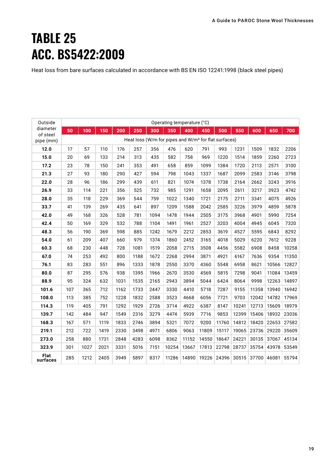### **TABLE 25 ACC. BS5422:2009**

Heat loss from bare surfaces calculated in accordance with BS EN ISO 12241:1998 (black steel pipes)

| Outside              | Operating temperature (°C) |      |      |      |      |      |                                                                  |       |       |       |       |             |       |       |
|----------------------|----------------------------|------|------|------|------|------|------------------------------------------------------------------|-------|-------|-------|-------|-------------|-------|-------|
| diameter<br>of steel | 50                         | 100  | 150  | 200  | 250  | 300  | 350                                                              | 400   | 450   | 500   | 550   | 600         | 650   | 700   |
| pipe (mm)            |                            |      |      |      |      |      | Heat loss (W/m for pipes and W/m <sup>2</sup> for flat surfaces) |       |       |       |       |             |       |       |
| 12.0                 | 17                         | 57   | 110  | 176  | 257  | 356  | 476                                                              | 620   | 791   | 993   | 1231  | 1509        | 1832  | 2206  |
| 15.0                 | 20                         | 69   | 133  | 214  | 313  | 435  | 582                                                              | 758   | 969   | 1220  | 1514  | 1859        | 2260  | 2723  |
| 17.2                 | 23                         | 78   | 150  | 241  | 353  | 491  | 658                                                              | 859   | 1099  | 1384  | 1720  | 2113        | 2571  | 3100  |
| 21.3                 | 27                         | 93   | 180  | 290  | 427  | 594  | 798                                                              | 1043  | 1337  | 1687  | 2099  | 2583        | 3146  | 3798  |
| 22.0                 | 28                         | 96   | 186  | 299  | 439  | 611  | 821                                                              | 1074  | 1378  | 1738  | 2164  | 2662        | 3243  | 3916  |
| 26.9                 | 33                         | 114  | 221  | 356  | 525  | 732  | 985                                                              | 1291  | 1658  | 2095  | 2611  | 3217        | 3923  | 4742  |
| 28.0                 | 35                         | 118  | 229  | 369  | 544  | 759  | 1022                                                             | 1340  | 1721  | 2175  | 2711  | 3341        | 4075  | 4926  |
| 33.7                 | 41                         | 139  | 269  | 435  | 641  | 897  | 1209                                                             | 1588  | 2042  | 2585  | 3226  | 3979        | 4859  | 5878  |
| 42.0                 | 49                         | 168  | 326  | 528  | 781  | 1094 | 1478                                                             | 1944  | 2505  | 3175  | 3968  | 4901        | 5990  | 7254  |
| 42.4                 | 50                         | 169  | 329  | 532  | 788  | 1104 | 1491                                                             | 1961  | 2527  | 3203  | 4004  | 4945        | 6045  | 7320  |
| 48.3                 | 56                         | 190  | 369  | 598  | 885  | 1242 | 1679                                                             | 2212  | 2853  | 3619  | 4527  | 5595        | 6843  | 8292  |
| 54.0                 | 61                         | 209  | 407  | 660  | 979  | 1374 | 1860                                                             | 2452  | 3165  | 4018  | 5029  | 6220        | 7612  | 9228  |
| 60.3                 | 68                         | 230  | 448  | 728  | 1081 | 1519 | 2058                                                             | 2715  | 3508  | 4456  | 5582  | 6908        | 8458  | 10258 |
| 67.0                 | 74                         | 253  | 492  | 800  | 1188 | 1672 | 2268                                                             | 2994  | 3871  | 4921  | 6167  | 7636        | 9354  | 11350 |
| 76.1                 | 83                         | 283  | 551  | 896  | 1333 | 1878 | 2550                                                             | 3370  | 4360  | 5548  | 6958  | 8621        | 10566 | 12827 |
| 80.0                 | 87                         | 295  | 576  | 938  | 1395 | 1966 | 2670                                                             | 3530  | 4569  | 5815  | 7298  | 9041        | 11084 | 13459 |
| 88.9                 | 95                         | 324  | 632  | 1031 | 1535 | 2165 | 2943                                                             | 3894  | 5044  | 6424  | 8064  | 9998        | 12263 | 14897 |
| 101.6                | 107                        | 365  | 712  | 1162 | 1733 | 2447 | 3330                                                             | 4410  | 5718  | 7287  | 9155  | 11358       | 13940 | 16942 |
| 108.0                | 113                        | 385  | 752  | 1228 | 1832 | 2588 | 3523                                                             | 4668  | 6056  | 7721  | 9703  | 12042       | 14782 | 17969 |
| 114.3                | 119                        | 405  | 791  | 1292 | 1929 | 2726 | 3714                                                             | 4922  | 6387  | 8147  | 10241 | 12713       | 15609 | 18979 |
| 139.7                | 142                        | 484  | 947  | 1549 | 2316 | 3279 | 4474                                                             | 5939  | 7716  | 9853  | 12399 | 15406       | 18932 | 23036 |
| 168.3                | 167                        | 571  | 1119 | 1833 | 2746 | 3894 | 5321                                                             | 7072  | 9200  | 11760 | 14812 | 18420       | 22653 | 27582 |
| 219.1                | 212                        | 722  | 1419 | 2330 | 3498 | 4971 | 6806                                                             | 9063  | 11809 | 15117 | 19065 | 23736       | 29220 | 35609 |
| 273.0                | 258                        | 880  | 1731 | 2848 | 4283 | 6098 | 8362                                                             | 11152 | 14550 | 18647 | 24221 | 30135       | 37067 | 45134 |
| 323.9                | 301                        | 1027 | 2021 | 3331 | 5016 | 7151 | 10254                                                            | 13667 | 17813 | 22798 | 28737 | 35754       | 43978 | 53549 |
| Flat<br>surfaces     | 285                        | 1212 | 2405 | 3949 | 5897 | 8317 | 11286                                                            | 14890 | 19226 | 24396 | 30515 | 37700 46081 |       | 55794 |